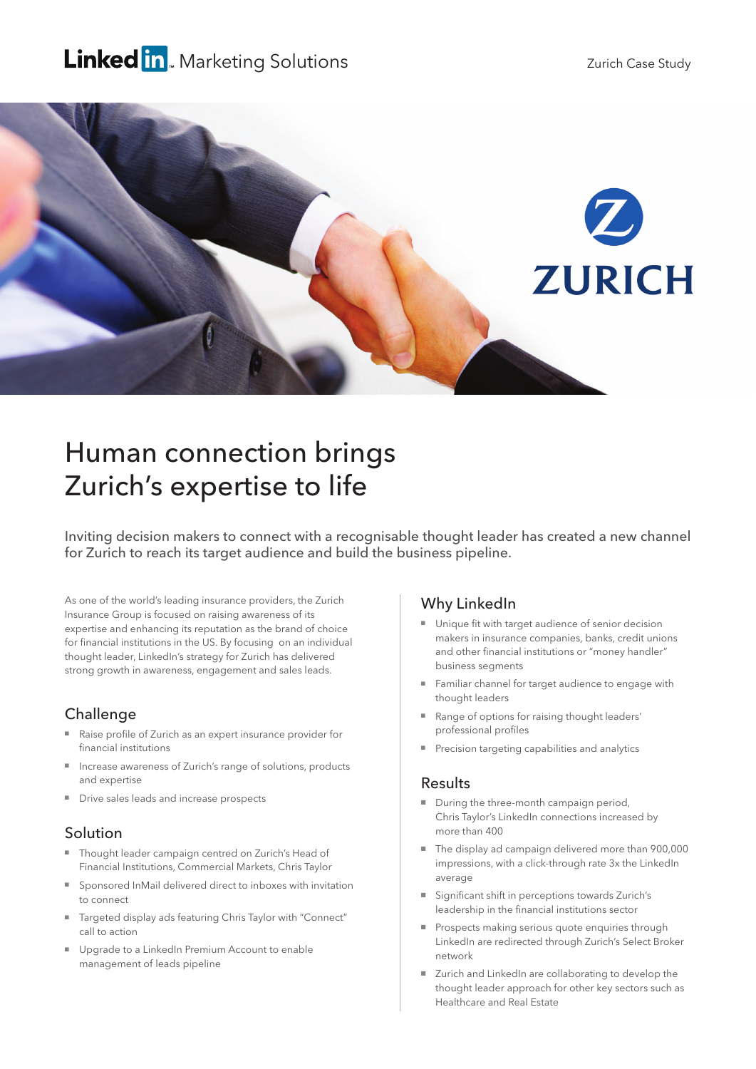# Linked in Marketing Solutions



# Human connection brings Zurich's expertise to life

Inviting decision makers to connect with a recognisable thought leader has created a new channel for Zurich to reach its target audience and build the business pipeline.

As one of the world's leading insurance providers, the Zurich Insurance Group is focused on raising awareness of its expertise and enhancing its reputation as the brand of choice for financial institutions in the US. By focusing on an individual thought leader, LinkedIn's strategy for Zurich has delivered strong growth in awareness, engagement and sales leads.

#### Challenge

- Raise profile of Zurich as an expert insurance provider for financial institutions
- Increase awareness of Zurich's range of solutions, products and expertise
- Drive sales leads and increase prospects

# Solution

- Thought leader campaign centred on Zurich's Head of Financial Institutions, Commercial Markets, Chris Taylor
- Sponsored InMail delivered direct to inboxes with invitation to connect
- Targeted display ads featuring Chris Taylor with "Connect" call to action
- Upgrade to a LinkedIn Premium Account to enable management of leads pipeline

#### Why LinkedIn

- Unique fit with target audience of senior decision makers in insurance companies, banks, credit unions and other financial institutions or "money handler" business segments
- Familiar channel for target audience to engage with thought leaders
- Range of options for raising thought leaders' professional profiles
- Precision targeting capabilities and analytics

#### Results

- During the three-month campaign period, Chris Taylor's LinkedIn connections increased by more than 400
- The display ad campaign delivered more than 900,000 impressions, with a click-through rate 3x the LinkedIn average
- Significant shift in perceptions towards Zurich's leadership in the financial institutions sector
- Prospects making serious quote enquiries through LinkedIn are redirected through Zurich's Select Broker network
- Zurich and LinkedIn are collaborating to develop the thought leader approach for other key sectors such as Healthcare and Real Estate